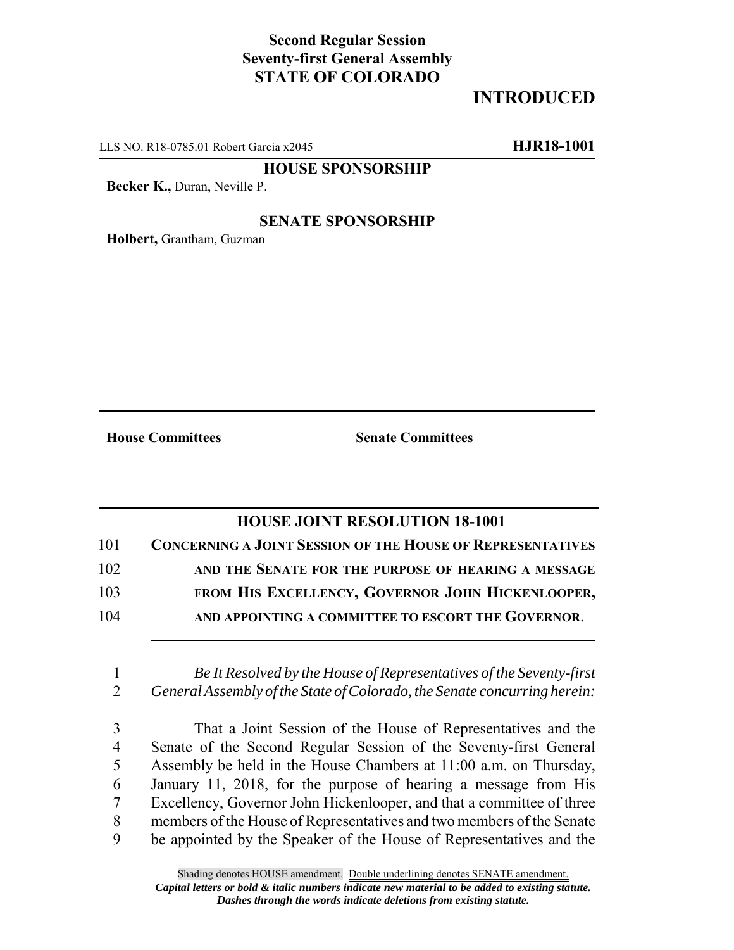## **Second Regular Session Seventy-first General Assembly STATE OF COLORADO**

## **INTRODUCED**

LLS NO. R18-0785.01 Robert Garcia x2045 **HJR18-1001**

**HOUSE SPONSORSHIP**

**Becker K.,** Duran, Neville P.

## **SENATE SPONSORSHIP**

**Holbert,** Grantham, Guzman

**House Committees Senate Committees**

## **HOUSE JOINT RESOLUTION 18-1001**

| 101 | <b>CONCERNING A JOINT SESSION OF THE HOUSE OF REPRESENTATIVES</b> |
|-----|-------------------------------------------------------------------|
| 102 | AND THE SENATE FOR THE PURPOSE OF HEARING A MESSAGE               |
| 103 | FROM HIS EXCELLENCY, GOVERNOR JOHN HICKENLOOPER,                  |
| 104 | AND APPOINTING A COMMITTEE TO ESCORT THE GOVERNOR.                |

1 *Be It Resolved by the House of Representatives of the Seventy-first* 2 *General Assembly of the State of Colorado, the Senate concurring herein:*

 That a Joint Session of the House of Representatives and the Senate of the Second Regular Session of the Seventy-first General Assembly be held in the House Chambers at 11:00 a.m. on Thursday, January 11, 2018, for the purpose of hearing a message from His Excellency, Governor John Hickenlooper, and that a committee of three members of the House of Representatives and two members of the Senate be appointed by the Speaker of the House of Representatives and the